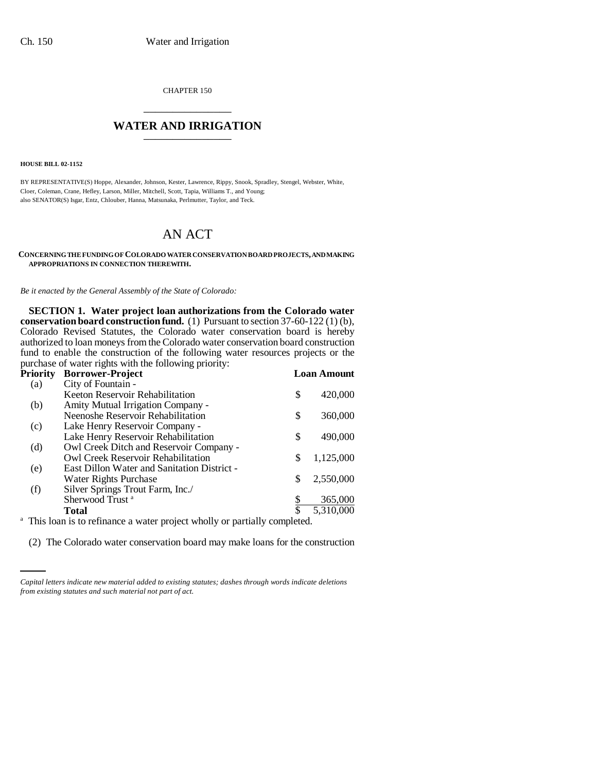CHAPTER 150 \_\_\_\_\_\_\_\_\_\_\_\_\_\_\_

# WATER AND IRRIGATION

**HOUSE BILL 02-1152**

BY REPRESENTATIVE(S) Hoppe, Alexander, Johnson, Kester, Lawrence, Rippy, Snook, Spradley, Stengel, Webster, White, Cloer, Coleman, Crane, Hefley, Larson, Miller, Mitchell, Scott, Tapia, Williams T., and Young; also SENATOR(S) Isgar, Entz, Chlouber, Hanna, Matsunaka, Perlmutter, Taylor, and Teck.

# AN ACT

**CONCERNING THE FUNDING OF COLORADO WATER CONSERVATION BOARD PROJECTS, AND MAKING APPROPRIATIONS IN CONNECTION THEREWITH.**

*Be it enacted by the General Assembly of the State of Colorado:*

**SECTION 1. Water project loan authorizations from the Colorado water conservation board construction fund.** (1) Pursuant to section 37-60-122 (1) (b), Colorado Revised Statutes, the Colorado water conservation board is hereby authorized to loan moneys from the Colorado water conservation board construction fund to enable the construction of the following water resources projects or the purchase of water rights with the following priority:

| Priority | <b>Borrower-Project</b>                                                               |    | <b>Loan Amount</b> |
|----------|---------------------------------------------------------------------------------------|----|--------------------|
| (a)      | City of Fountain -                                                                    |    |                    |
|          | Keeton Reservoir Rehabilitation                                                       | \$ | 420,000            |
| (b)      | <b>Amity Mutual Irrigation Company -</b>                                              |    |                    |
|          | Neenoshe Reservoir Rehabilitation                                                     | \$ | 360,000            |
| (c)      | Lake Henry Reservoir Company -                                                        |    |                    |
|          | Lake Henry Reservoir Rehabilitation                                                   | \$ | 490,000            |
| (d)      | Owl Creek Ditch and Reservoir Company -                                               |    |                    |
|          | Owl Creek Reservoir Rehabilitation                                                    | S  | 1,125,000          |
| (e)      | <b>East Dillon Water and Sanitation District -</b>                                    |    |                    |
|          | <b>Water Rights Purchase</b>                                                          | \$ | 2,550,000          |
| (f)      | Silver Springs Trout Farm, Inc./                                                      |    |                    |
|          | Sherwood Trust <sup>a</sup>                                                           |    | 365,000            |
|          | <b>Total</b>                                                                          | \$ | 5,310,000          |
|          | <sup>a</sup> This loan is to refinance a water project wholly or partially completed. |    |                    |

(2) The Colorado water conservation board may make loans for the construction

*Capital letters indicate new material added to existing statutes; dashes through words indicate deletions from existing statutes and such material not part of act.*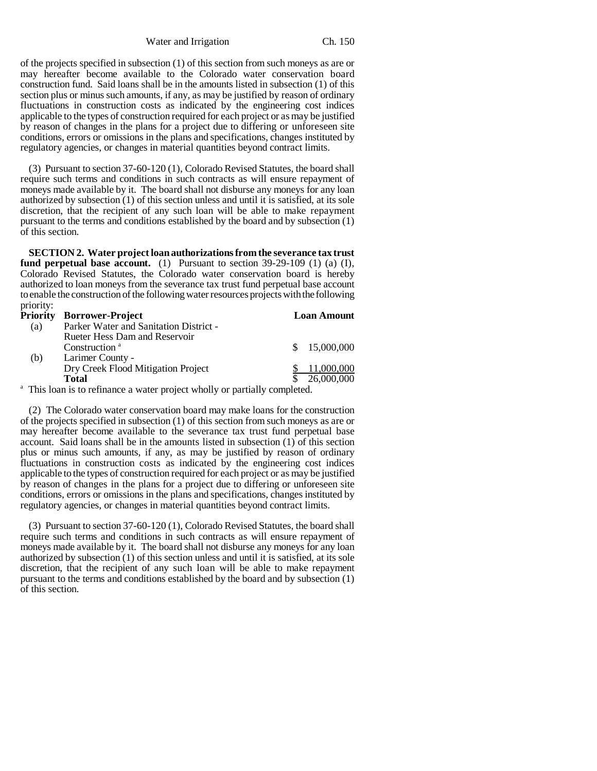Water and Irrigation Ch. 150

of the projects specified in subsection (1) of this section from such moneys as are or may hereafter become available to the Colorado water conservation board construction fund. Said loans shall be in the amounts listed in subsection (1) of this section plus or minus such amounts, if any, as may be justified by reason of ordinary fluctuations in construction costs as indicated by the engineering cost indices applicable to the types of construction required for each project or as may be justified by reason of changes in the plans for a project due to differing or unforeseen site conditions, errors or omissions in the plans and specifications, changes instituted by regulatory agencies, or changes in material quantities beyond contract limits.

(3) Pursuant to section 37-60-120 (1), Colorado Revised Statutes, the board shall require such terms and conditions in such contracts as will ensure repayment of moneys made available by it. The board shall not disburse any moneys for any loan authorized by subsection (1) of this section unless and until it is satisfied, at its sole discretion, that the recipient of any such loan will be able to make repayment pursuant to the terms and conditions established by the board and by subsection (1) of this section.

**SECTION 2. Water project loan authorizations from the severance tax trust fund perpetual base account.** (1) Pursuant to section 39-29-109 (1) (a) (I), Colorado Revised Statutes, the Colorado water conservation board is hereby authorized to loan moneys from the severance tax trust fund perpetual base account to enable the construction of the following water resources projects with the following priority:

| <b>Priority</b> | <b>Borrower-Project</b>                                                               |    | <b>Loan Amount</b> |
|-----------------|---------------------------------------------------------------------------------------|----|--------------------|
| (a)             | Parker Water and Sanitation District -                                                |    |                    |
|                 | Rueter Hess Dam and Reservoir                                                         |    |                    |
|                 | Construction <sup>a</sup>                                                             | S. | 15,000,000         |
| (b)             | Larimer County -                                                                      |    |                    |
|                 | Dry Creek Flood Mitigation Project                                                    |    | 11,000,000         |
|                 | <b>Total</b>                                                                          |    | 26,000,000         |
|                 | <sup>a</sup> This loan is to refinance a water project wholly or partially completed. |    |                    |

(2) The Colorado water conservation board may make loans for the construction of the projects specified in subsection (1) of this section from such moneys as are or may hereafter become available to the severance tax trust fund perpetual base account. Said loans shall be in the amounts listed in subsection (1) of this section plus or minus such amounts, if any, as may be justified by reason of ordinary fluctuations in construction costs as indicated by the engineering cost indices applicable to the types of construction required for each project or as may be justified by reason of changes in the plans for a project due to differing or unforeseen site conditions, errors or omissions in the plans and specifications, changes instituted by regulatory agencies, or changes in material quantities beyond contract limits.

(3) Pursuant to section 37-60-120 (1), Colorado Revised Statutes, the board shall require such terms and conditions in such contracts as will ensure repayment of moneys made available by it. The board shall not disburse any moneys for any loan authorized by subsection (1) of this section unless and until it is satisfied, at its sole discretion, that the recipient of any such loan will be able to make repayment pursuant to the terms and conditions established by the board and by subsection (1) of this section.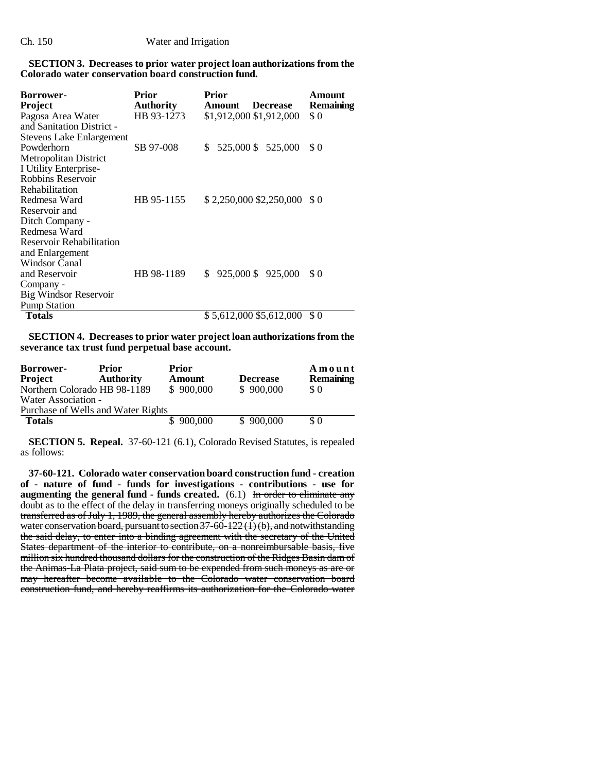## **SECTION 3. Decreases to prior water project loan authorizations from the Colorado water conservation board construction fund.**

| <b>Borrower-</b><br>Project     | Prior<br><b>Authority</b> | <b>Prior</b><br><b>Amount</b> | <b>Decrease</b>              | Amount<br>Remaining |
|---------------------------------|---------------------------|-------------------------------|------------------------------|---------------------|
| Pagosa Area Water               | HB 93-1273                |                               | \$1,912,000 \$1,912,000      | \$0                 |
| and Sanitation District -       |                           |                               |                              |                     |
| <b>Stevens Lake Enlargement</b> |                           |                               |                              |                     |
| Powderhorn                      | SB 97-008                 | S                             | 525,000 \$ 525,000           | \$0                 |
| <b>Metropolitan District</b>    |                           |                               |                              |                     |
| I Utility Enterprise-           |                           |                               |                              |                     |
| Robbins Reservoir               |                           |                               |                              |                     |
| Rehabilitation                  |                           |                               |                              |                     |
| Redmesa Ward                    | HB 95-1155                |                               | $$2,250,000$ \$2,250,000 \$0 |                     |
| Reservoir and                   |                           |                               |                              |                     |
| Ditch Company -                 |                           |                               |                              |                     |
| Redmesa Ward                    |                           |                               |                              |                     |
| Reservoir Rehabilitation        |                           |                               |                              |                     |
| and Enlargement                 |                           |                               |                              |                     |
| Windsor Canal                   |                           |                               |                              |                     |
| and Reservoir                   | HB 98-1189                | \$                            | 925,000 \$ 925,000           | \$0                 |
| Company -                       |                           |                               |                              |                     |
| <b>Big Windsor Reservoir</b>    |                           |                               |                              |                     |
| <b>Pump Station</b>             |                           |                               |                              |                     |
| <b>Totals</b>                   |                           |                               | \$5,612,000 \$5,612,000      | S 0                 |

**SECTION 4. Decreases to prior water project loan authorizations from the severance tax trust fund perpetual base account.**

| Borrower-           | <b>Prior</b>                       | <b>Prior</b>  |                 | Amount           |
|---------------------|------------------------------------|---------------|-----------------|------------------|
| <b>Project</b>      | <b>Authority</b>                   | <b>Amount</b> | <b>Decrease</b> | <b>Remaining</b> |
|                     | Northern Colorado HB 98-1189       | \$900,000     | \$900,000       | \$0              |
| Water Association - |                                    |               |                 |                  |
|                     | Purchase of Wells and Water Rights |               |                 |                  |
| <b>Totals</b>       |                                    | \$900,000     | \$900,000       | \$0              |

**SECTION 5. Repeal.** 37-60-121 (6.1), Colorado Revised Statutes, is repealed as follows:

**37-60-121. Colorado water conservation board construction fund - creation of - nature of fund - funds for investigations - contributions - use for** augmenting the general fund - funds created.  $(6.1)$  In order to eliminate any doubt as to the effect of the delay in transferring moneys originally scheduled to be transferred as of July 1, 1989, the general assembly hereby authorizes the Colorado water conservation board, pursuant to section  $37-60-122(1)(b)$ , and notwithstanding the said delay, to enter into a binding agreement with the secretary of the United States department of the interior to contribute, on a nonreimbursable basis, five million six hundred thousand dollars for the construction of the Ridges Basin dam of the Animas-La Plata project, said sum to be expended from such moneys as are or may hereafter become available to the Colorado water conservation board construction fund, and hereby reaffirms its authorization for the Colorado water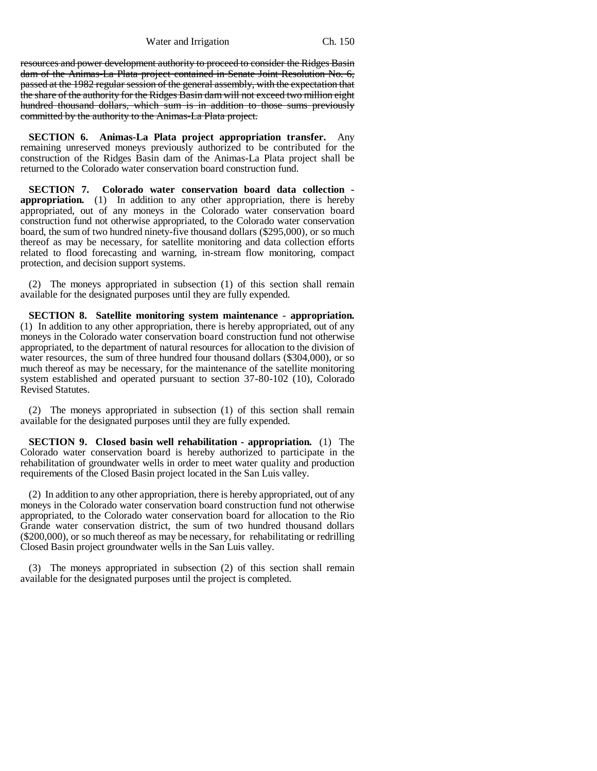Water and Irrigation Ch. 150

resources and power development authority to proceed to consider the Ridges Basin dam of the Animas-La Plata project contained in Senate Joint Resolution No. 6, passed at the 1982 regular session of the general assembly, with the expectation that the share of the authority for the Ridges Basin dam will not exceed two million eight hundred thousand dollars, which sum is in addition to those sums previously committed by the authority to the Animas-La Plata project.

**SECTION 6. Animas-La Plata project appropriation transfer.** Any remaining unreserved moneys previously authorized to be contributed for the construction of the Ridges Basin dam of the Animas-La Plata project shall be returned to the Colorado water conservation board construction fund.

**SECTION 7. Colorado water conservation board data collection appropriation.** (1) In addition to any other appropriation, there is hereby appropriated, out of any moneys in the Colorado water conservation board construction fund not otherwise appropriated, to the Colorado water conservation board, the sum of two hundred ninety-five thousand dollars (\$295,000), or so much thereof as may be necessary, for satellite monitoring and data collection efforts related to flood forecasting and warning, in-stream flow monitoring, compact protection, and decision support systems.

(2) The moneys appropriated in subsection (1) of this section shall remain available for the designated purposes until they are fully expended.

**SECTION 8. Satellite monitoring system maintenance - appropriation.** (1) In addition to any other appropriation, there is hereby appropriated, out of any moneys in the Colorado water conservation board construction fund not otherwise appropriated, to the department of natural resources for allocation to the division of water resources, the sum of three hundred four thousand dollars (\$304,000), or so much thereof as may be necessary, for the maintenance of the satellite monitoring system established and operated pursuant to section 37-80-102 (10), Colorado Revised Statutes.

(2) The moneys appropriated in subsection (1) of this section shall remain available for the designated purposes until they are fully expended.

**SECTION 9. Closed basin well rehabilitation - appropriation.** (1) The Colorado water conservation board is hereby authorized to participate in the rehabilitation of groundwater wells in order to meet water quality and production requirements of the Closed Basin project located in the San Luis valley.

(2) In addition to any other appropriation, there is hereby appropriated, out of any moneys in the Colorado water conservation board construction fund not otherwise appropriated, to the Colorado water conservation board for allocation to the Rio Grande water conservation district, the sum of two hundred thousand dollars (\$200,000), or so much thereof as may be necessary, for rehabilitating or redrilling Closed Basin project groundwater wells in the San Luis valley.

(3) The moneys appropriated in subsection (2) of this section shall remain available for the designated purposes until the project is completed.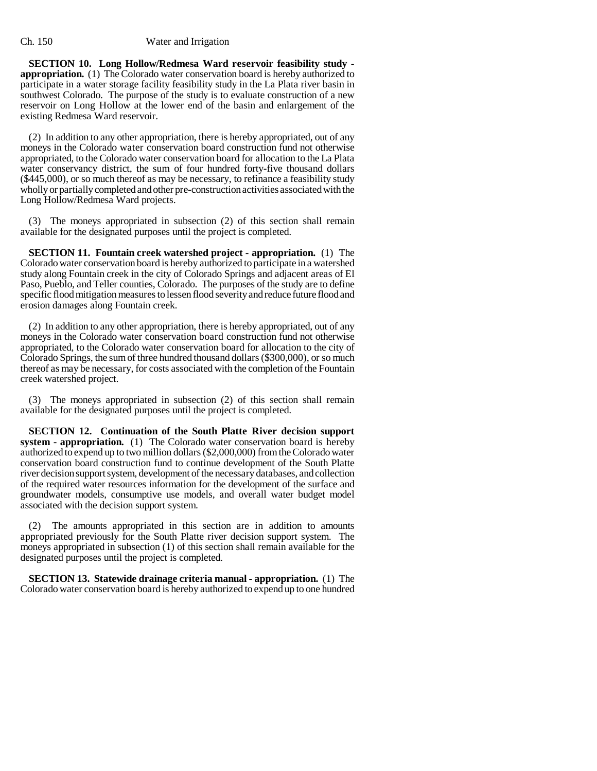### Ch. 150 Water and Irrigation

**SECTION 10. Long Hollow/Redmesa Ward reservoir feasibility study appropriation.** (1) The Colorado water conservation board is hereby authorized to participate in a water storage facility feasibility study in the La Plata river basin in southwest Colorado. The purpose of the study is to evaluate construction of a new reservoir on Long Hollow at the lower end of the basin and enlargement of the existing Redmesa Ward reservoir.

(2) In addition to any other appropriation, there is hereby appropriated, out of any moneys in the Colorado water conservation board construction fund not otherwise appropriated, to the Colorado water conservation board for allocation to the La Plata water conservancy district, the sum of four hundred forty-five thousand dollars (\$445,000), or so much thereof as may be necessary, to refinance a feasibility study wholly or partially completed and other pre-construction activities associated with the Long Hollow/Redmesa Ward projects.

(3) The moneys appropriated in subsection (2) of this section shall remain available for the designated purposes until the project is completed.

**SECTION 11. Fountain creek watershed project - appropriation.** (1) The Colorado water conservation board is hereby authorized to participate in a watershed study along Fountain creek in the city of Colorado Springs and adjacent areas of El Paso, Pueblo, and Teller counties, Colorado. The purposes of the study are to define specific flood mitigation measures to lessen flood severity and reduce future flood and erosion damages along Fountain creek.

(2) In addition to any other appropriation, there is hereby appropriated, out of any moneys in the Colorado water conservation board construction fund not otherwise appropriated, to the Colorado water conservation board for allocation to the city of Colorado Springs, the sum of three hundred thousand dollars (\$300,000), or so much thereof as may be necessary, for costs associated with the completion of the Fountain creek watershed project.

(3) The moneys appropriated in subsection (2) of this section shall remain available for the designated purposes until the project is completed.

**SECTION 12. Continuation of the South Platte River decision support system - appropriation.** (1) The Colorado water conservation board is hereby authorized to expend up to two million dollars (\$2,000,000) from the Colorado water conservation board construction fund to continue development of the South Platte river decision support system, development of the necessary databases, and collection of the required water resources information for the development of the surface and groundwater models, consumptive use models, and overall water budget model associated with the decision support system.

The amounts appropriated in this section are in addition to amounts appropriated previously for the South Platte river decision support system. The moneys appropriated in subsection (1) of this section shall remain available for the designated purposes until the project is completed.

**SECTION 13. Statewide drainage criteria manual - appropriation.** (1) The Colorado water conservation board is hereby authorized to expend up to one hundred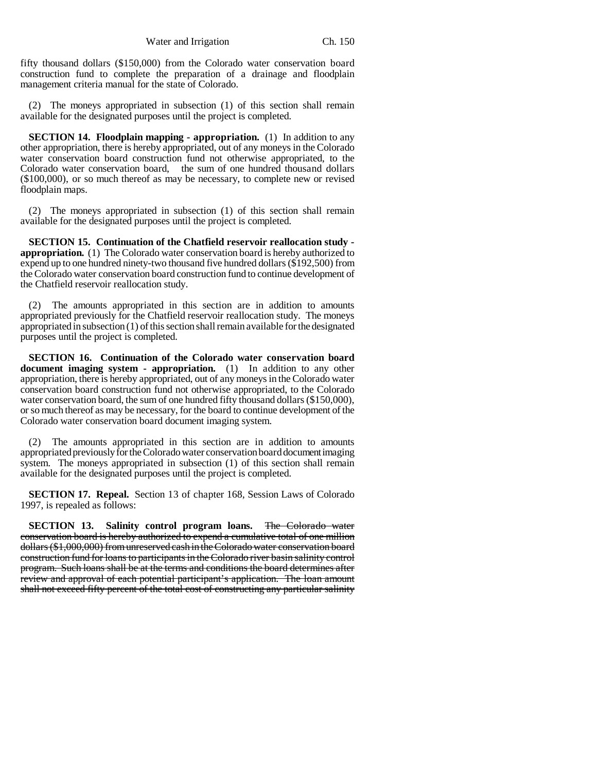fifty thousand dollars (\$150,000) from the Colorado water conservation board construction fund to complete the preparation of a drainage and floodplain management criteria manual for the state of Colorado.

(2) The moneys appropriated in subsection (1) of this section shall remain available for the designated purposes until the project is completed.

**SECTION 14. Floodplain mapping - appropriation.** (1) In addition to any other appropriation, there is hereby appropriated, out of any moneys in the Colorado water conservation board construction fund not otherwise appropriated, to the Colorado water conservation board, the sum of one hundred thousand dollars (\$100,000), or so much thereof as may be necessary, to complete new or revised floodplain maps.

(2) The moneys appropriated in subsection (1) of this section shall remain available for the designated purposes until the project is completed.

**SECTION 15. Continuation of the Chatfield reservoir reallocation study appropriation.** (1) The Colorado water conservation board is hereby authorized to expend up to one hundred ninety-two thousand five hundred dollars (\$192,500) from the Colorado water conservation board construction fund to continue development of the Chatfield reservoir reallocation study.

The amounts appropriated in this section are in addition to amounts appropriated previously for the Chatfield reservoir reallocation study. The moneys appropriated in subsection (1) of this section shall remain available for the designated purposes until the project is completed.

**SECTION 16. Continuation of the Colorado water conservation board document imaging system - appropriation.** (1) In addition to any other appropriation, there is hereby appropriated, out of any moneys in the Colorado water conservation board construction fund not otherwise appropriated, to the Colorado water conservation board, the sum of one hundred fifty thousand dollars (\$150,000), or so much thereof as may be necessary, for the board to continue development of the Colorado water conservation board document imaging system.

(2) The amounts appropriated in this section are in addition to amounts appropriated previously for the Colorado water conservation board document imaging system. The moneys appropriated in subsection (1) of this section shall remain available for the designated purposes until the project is completed.

**SECTION 17. Repeal.** Section 13 of chapter 168, Session Laws of Colorado 1997, is repealed as follows:

**SECTION 13. Salinity control program loans.** The Colorado water conservation board is hereby authorized to expend a cumulative total of one million dollars (\$1,000,000) from unreserved cash in the Colorado water conservation board construction fund for loans to participants in the Colorado river basin salinity control program. Such loans shall be at the terms and conditions the board determines after review and approval of each potential participant's application. The loan amount shall not exceed fifty percent of the total cost of constructing any particular salinity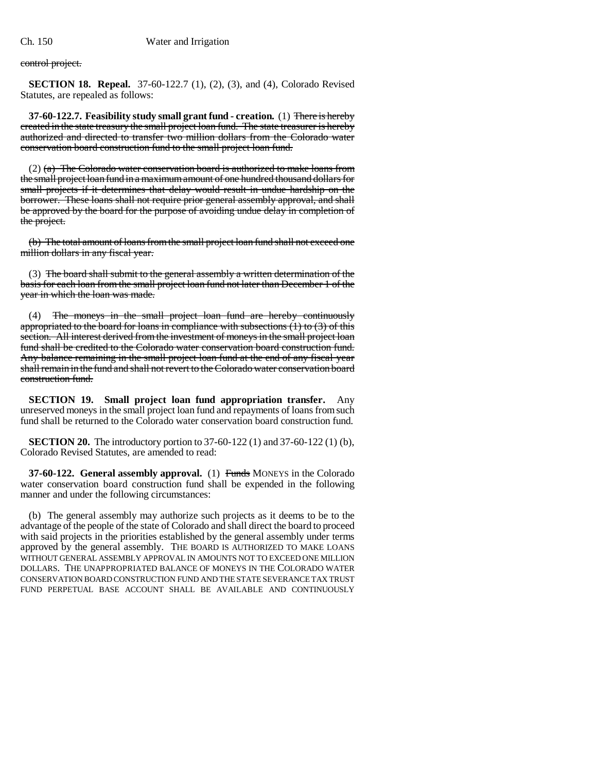control project.

**SECTION 18. Repeal.** 37-60-122.7 (1), (2), (3), and (4), Colorado Revised Statutes, are repealed as follows:

**37-60-122.7. Feasibility study small grant fund - creation.** (1) There is hereby created in the state treasury the small project loan fund. The state treasurer is hereby authorized and directed to transfer two million dollars from the Colorado water conservation board construction fund to the small project loan fund.

 $(2)$  (a) The Colorado water conservation board is authorized to make loans from the small project loan fund in a maximum amount of one hundred thousand dollars for small projects if it determines that delay would result in undue hardship on the borrower. These loans shall not require prior general assembly approval, and shall be approved by the board for the purpose of avoiding undue delay in completion of the project.

(b) The total amount of loans from the small project loan fund shall not exceed one million dollars in any fiscal year.

(3) The board shall submit to the general assembly a written determination of the basis for each loan from the small project loan fund not later than December 1 of the year in which the loan was made.

(4) The moneys in the small project loan fund are hereby continuously appropriated to the board for loans in compliance with subsections  $(1)$  to  $(3)$  of this section. All interest derived from the investment of moneys in the small project loan fund shall be credited to the Colorado water conservation board construction fund. Any balance remaining in the small project loan fund at the end of any fiscal year shall remain in the fund and shall not revert to the Colorado water conservation board construction fund.

**SECTION 19. Small project loan fund appropriation transfer.** Any unreserved moneys in the small project loan fund and repayments of loans from such fund shall be returned to the Colorado water conservation board construction fund.

**SECTION 20.** The introductory portion to 37-60-122 (1) and 37-60-122 (1) (b), Colorado Revised Statutes, are amended to read:

**37-60-122. General assembly approval.** (1) Funds MONEYS in the Colorado water conservation board construction fund shall be expended in the following manner and under the following circumstances:

(b) The general assembly may authorize such projects as it deems to be to the advantage of the people of the state of Colorado and shall direct the board to proceed with said projects in the priorities established by the general assembly under terms approved by the general assembly. THE BOARD IS AUTHORIZED TO MAKE LOANS WITHOUT GENERAL ASSEMBLY APPROVAL IN AMOUNTS NOT TO EXCEED ONE MILLION DOLLARS. THE UNAPPROPRIATED BALANCE OF MONEYS IN THE COLORADO WATER CONSERVATION BOARD CONSTRUCTION FUND AND THE STATE SEVERANCE TAX TRUST FUND PERPETUAL BASE ACCOUNT SHALL BE AVAILABLE AND CONTINUOUSLY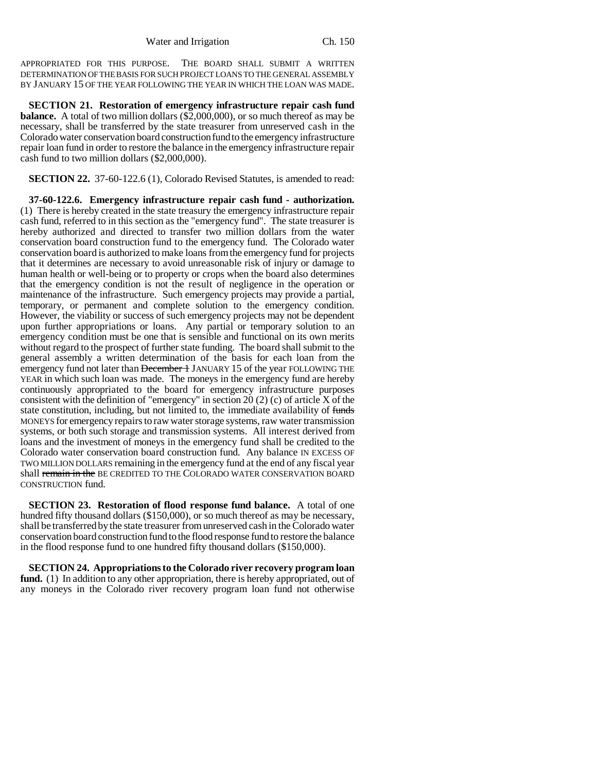APPROPRIATED FOR THIS PURPOSE. THE BOARD SHALL SUBMIT A WRITTEN DETERMINATION OF THE BASIS FOR SUCH PROJECT LOANS TO THE GENERAL ASSEMBLY BY JANUARY 15 OF THE YEAR FOLLOWING THE YEAR IN WHICH THE LOAN WAS MADE.

**SECTION 21. Restoration of emergency infrastructure repair cash fund balance.** A total of two million dollars (\$2,000,000), or so much thereof as may be necessary, shall be transferred by the state treasurer from unreserved cash in the Colorado water conservation board construction fund to the emergency infrastructure repair loan fund in order to restore the balance in the emergency infrastructure repair cash fund to two million dollars (\$2,000,000).

**SECTION 22.** 37-60-122.6 (1), Colorado Revised Statutes, is amended to read:

**37-60-122.6. Emergency infrastructure repair cash fund - authorization.** (1) There is hereby created in the state treasury the emergency infrastructure repair cash fund, referred to in this section as the "emergency fund". The state treasurer is hereby authorized and directed to transfer two million dollars from the water conservation board construction fund to the emergency fund. The Colorado water conservation board is authorized to make loans from the emergency fund for projects that it determines are necessary to avoid unreasonable risk of injury or damage to human health or well-being or to property or crops when the board also determines that the emergency condition is not the result of negligence in the operation or maintenance of the infrastructure. Such emergency projects may provide a partial, temporary, or permanent and complete solution to the emergency condition. However, the viability or success of such emergency projects may not be dependent upon further appropriations or loans. Any partial or temporary solution to an emergency condition must be one that is sensible and functional on its own merits without regard to the prospect of further state funding. The board shall submit to the general assembly a written determination of the basis for each loan from the emergency fund not later than December 1 JANUARY 15 of the year FOLLOWING THE YEAR in which such loan was made. The moneys in the emergency fund are hereby continuously appropriated to the board for emergency infrastructure purposes consistent with the definition of "emergency" in section 20 (2) (c) of article  $\overline{X}$  of the state constitution, including, but not limited to, the immediate availability of funds MONEYS for emergency repairs to raw water storage systems, raw water transmission systems, or both such storage and transmission systems. All interest derived from loans and the investment of moneys in the emergency fund shall be credited to the Colorado water conservation board construction fund. Any balance IN EXCESS OF TWO MILLION DOLLARS remaining in the emergency fund at the end of any fiscal year shall remain in the BE CREDITED TO THE COLORADO WATER CONSERVATION BOARD CONSTRUCTION fund.

**SECTION 23. Restoration of flood response fund balance.** A total of one hundred fifty thousand dollars (\$150,000), or so much thereof as may be necessary, shall be transferred by the state treasurer from unreserved cash in the Colorado water conservation board construction fund to the flood response fund to restore the balance in the flood response fund to one hundred fifty thousand dollars (\$150,000).

**SECTION 24. Appropriations to the Colorado river recovery program loan** fund. (1) In addition to any other appropriation, there is hereby appropriated, out of any moneys in the Colorado river recovery program loan fund not otherwise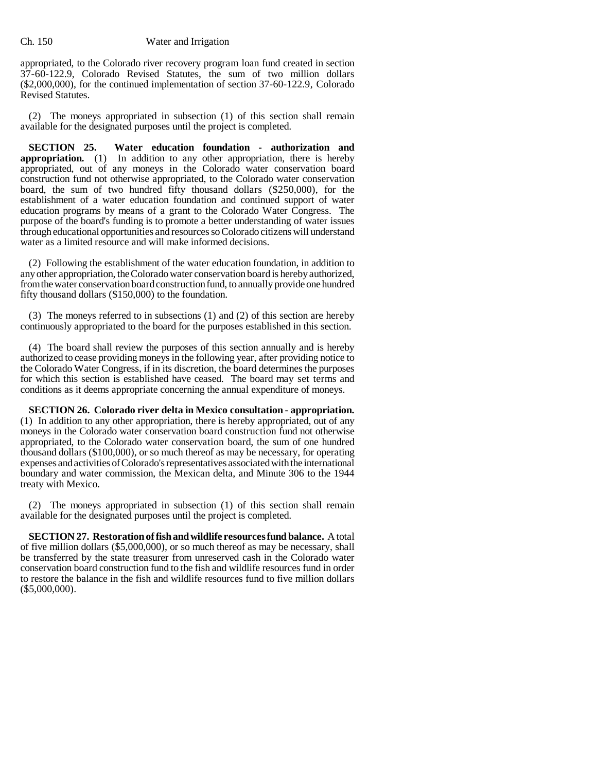appropriated, to the Colorado river recovery program loan fund created in section 37-60-122.9, Colorado Revised Statutes, the sum of two million dollars (\$2,000,000), for the continued implementation of section 37-60-122.9, Colorado Revised Statutes.

(2) The moneys appropriated in subsection (1) of this section shall remain available for the designated purposes until the project is completed.

**SECTION 25. Water education foundation - authorization and appropriation.** (1) In addition to any other appropriation, there is hereby appropriated, out of any moneys in the Colorado water conservation board construction fund not otherwise appropriated, to the Colorado water conservation board, the sum of two hundred fifty thousand dollars (\$250,000), for the establishment of a water education foundation and continued support of water education programs by means of a grant to the Colorado Water Congress. The purpose of the board's funding is to promote a better understanding of water issues through educational opportunities and resources so Colorado citizens will understand water as a limited resource and will make informed decisions.

(2) Following the establishment of the water education foundation, in addition to any other appropriation, the Colorado water conservation board is hereby authorized, from the water conservation board construction fund, to annually provide one hundred fifty thousand dollars (\$150,000) to the foundation.

(3) The moneys referred to in subsections (1) and (2) of this section are hereby continuously appropriated to the board for the purposes established in this section.

(4) The board shall review the purposes of this section annually and is hereby authorized to cease providing moneys in the following year, after providing notice to the Colorado Water Congress, if in its discretion, the board determines the purposes for which this section is established have ceased. The board may set terms and conditions as it deems appropriate concerning the annual expenditure of moneys.

**SECTION 26. Colorado river delta in Mexico consultation - appropriation.** (1) In addition to any other appropriation, there is hereby appropriated, out of any moneys in the Colorado water conservation board construction fund not otherwise appropriated, to the Colorado water conservation board, the sum of one hundred thousand dollars (\$100,000), or so much thereof as may be necessary, for operating expenses and activities of Colorado's representatives associated with the international boundary and water commission, the Mexican delta, and Minute 306 to the 1944 treaty with Mexico.

(2) The moneys appropriated in subsection (1) of this section shall remain available for the designated purposes until the project is completed.

**SECTION 27. Restoration of fish and wildlife resources fund balance.** A total of five million dollars (\$5,000,000), or so much thereof as may be necessary, shall be transferred by the state treasurer from unreserved cash in the Colorado water conservation board construction fund to the fish and wildlife resources fund in order to restore the balance in the fish and wildlife resources fund to five million dollars (\$5,000,000).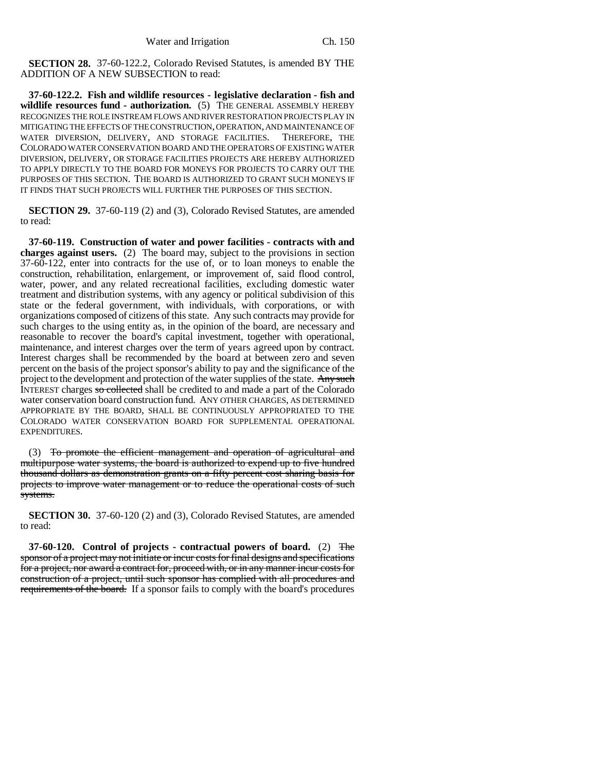**SECTION 28.** 37-60-122.2, Colorado Revised Statutes, is amended BY THE ADDITION OF A NEW SUBSECTION to read:

**37-60-122.2. Fish and wildlife resources - legislative declaration - fish and wildlife resources fund - authorization.** (5) THE GENERAL ASSEMBLY HEREBY RECOGNIZES THE ROLE INSTREAM FLOWS AND RIVER RESTORATION PROJECTS PLAY IN MITIGATING THE EFFECTS OF THE CONSTRUCTION, OPERATION, AND MAINTENANCE OF WATER DIVERSION. DELIVERY. AND STORAGE FACILITIES. THEREFORE. THE WATER DIVERSION, DELIVERY, AND STORAGE FACILITIES. COLORADO WATER CONSERVATION BOARD AND THE OPERATORS OF EXISTING WATER DIVERSION, DELIVERY, OR STORAGE FACILITIES PROJECTS ARE HEREBY AUTHORIZED TO APPLY DIRECTLY TO THE BOARD FOR MONEYS FOR PROJECTS TO CARRY OUT THE PURPOSES OF THIS SECTION. THE BOARD IS AUTHORIZED TO GRANT SUCH MONEYS IF IT FINDS THAT SUCH PROJECTS WILL FURTHER THE PURPOSES OF THIS SECTION.

**SECTION 29.** 37-60-119 (2) and (3), Colorado Revised Statutes, are amended to read:

**37-60-119. Construction of water and power facilities - contracts with and charges against users.** (2) The board may, subject to the provisions in section 37-60-122, enter into contracts for the use of, or to loan moneys to enable the construction, rehabilitation, enlargement, or improvement of, said flood control, water, power, and any related recreational facilities, excluding domestic water treatment and distribution systems, with any agency or political subdivision of this state or the federal government, with individuals, with corporations, or with organizations composed of citizens of this state. Any such contracts may provide for such charges to the using entity as, in the opinion of the board, are necessary and reasonable to recover the board's capital investment, together with operational, maintenance, and interest charges over the term of years agreed upon by contract. Interest charges shall be recommended by the board at between zero and seven percent on the basis of the project sponsor's ability to pay and the significance of the project to the development and protection of the water supplies of the state. Any such INTEREST charges so collected shall be credited to and made a part of the Colorado water conservation board construction fund. ANY OTHER CHARGES, AS DETERMINED APPROPRIATE BY THE BOARD, SHALL BE CONTINUOUSLY APPROPRIATED TO THE COLORADO WATER CONSERVATION BOARD FOR SUPPLEMENTAL OPERATIONAL EXPENDITURES.

(3) To promote the efficient management and operation of agricultural and multipurpose water systems, the board is authorized to expend up to five hundred thousand dollars as demonstration grants on a fifty percent cost sharing basis for projects to improve water management or to reduce the operational costs of such systems.

**SECTION 30.** 37-60-120 (2) and (3), Colorado Revised Statutes, are amended to read:

**37-60-120. Control of projects - contractual powers of board.** (2) The sponsor of a project may not initiate or incur costs for final designs and specifications for a project, nor award a contract for, proceed with, or in any manner incur costs for construction of a project, until such sponsor has complied with all procedures and requirements of the board. If a sponsor fails to comply with the board's procedures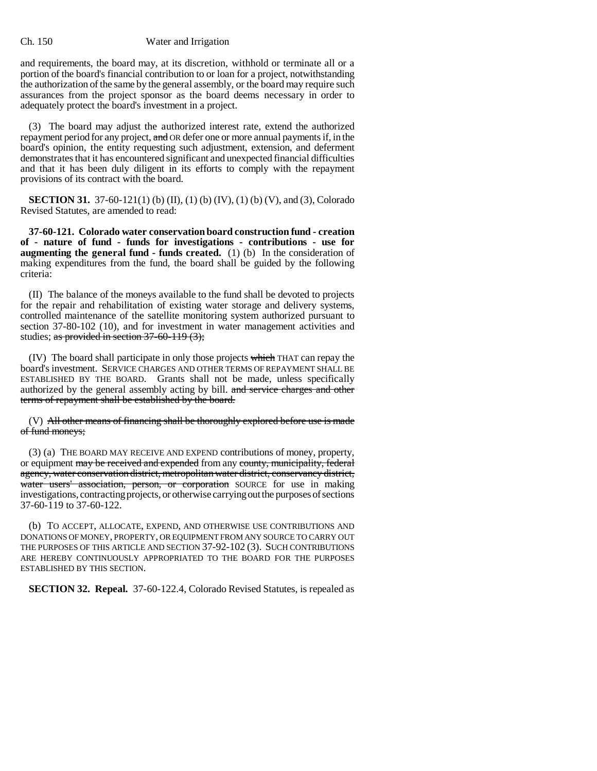### Ch. 150 Water and Irrigation

and requirements, the board may, at its discretion, withhold or terminate all or a portion of the board's financial contribution to or loan for a project, notwithstanding the authorization of the same by the general assembly, or the board may require such assurances from the project sponsor as the board deems necessary in order to adequately protect the board's investment in a project.

(3) The board may adjust the authorized interest rate, extend the authorized repayment period for any project, and OR defer one or more annual payments if, in the board's opinion, the entity requesting such adjustment, extension, and deferment demonstrates that it has encountered significant and unexpected financial difficulties and that it has been duly diligent in its efforts to comply with the repayment provisions of its contract with the board.

**SECTION 31.** 37-60-121(1) (b) (II), (1) (b) (IV), (1) (b) (V), and (3), Colorado Revised Statutes, are amended to read:

**37-60-121. Colorado water conservation board construction fund - creation of - nature of fund - funds for investigations - contributions - use for augmenting the general fund - funds created.** (1) (b) In the consideration of making expenditures from the fund, the board shall be guided by the following criteria:

(II) The balance of the moneys available to the fund shall be devoted to projects for the repair and rehabilitation of existing water storage and delivery systems, controlled maintenance of the satellite monitoring system authorized pursuant to section 37-80-102 (10), and for investment in water management activities and studies; as provided in section 37-60-119 (3);

(IV) The board shall participate in only those projects which THAT can repay the board's investment. SERVICE CHARGES AND OTHER TERMS OF REPAYMENT SHALL BE ESTABLISHED BY THE BOARD. Grants shall not be made, unless specifically authorized by the general assembly acting by bill. and service charges and other terms of repayment shall be established by the board.

(V) All other means of financing shall be thoroughly explored before use is made of fund moneys;

(3) (a) THE BOARD MAY RECEIVE AND EXPEND contributions of money, property, or equipment may be received and expended from any county, municipality, federal agency, water conservation district, metropolitan water district, conservancy district, water users' association, person, or corporation SOURCE for use in making investigations, contracting projects, or otherwise carrying out the purposes of sections 37-60-119 to 37-60-122.

(b) TO ACCEPT, ALLOCATE, EXPEND, AND OTHERWISE USE CONTRIBUTIONS AND DONATIONS OF MONEY, PROPERTY, OR EQUIPMENT FROM ANY SOURCE TO CARRY OUT THE PURPOSES OF THIS ARTICLE AND SECTION 37-92-102 (3). SUCH CONTRIBUTIONS ARE HEREBY CONTINUOUSLY APPROPRIATED TO THE BOARD FOR THE PURPOSES ESTABLISHED BY THIS SECTION.

**SECTION 32. Repeal.** 37-60-122.4, Colorado Revised Statutes, is repealed as